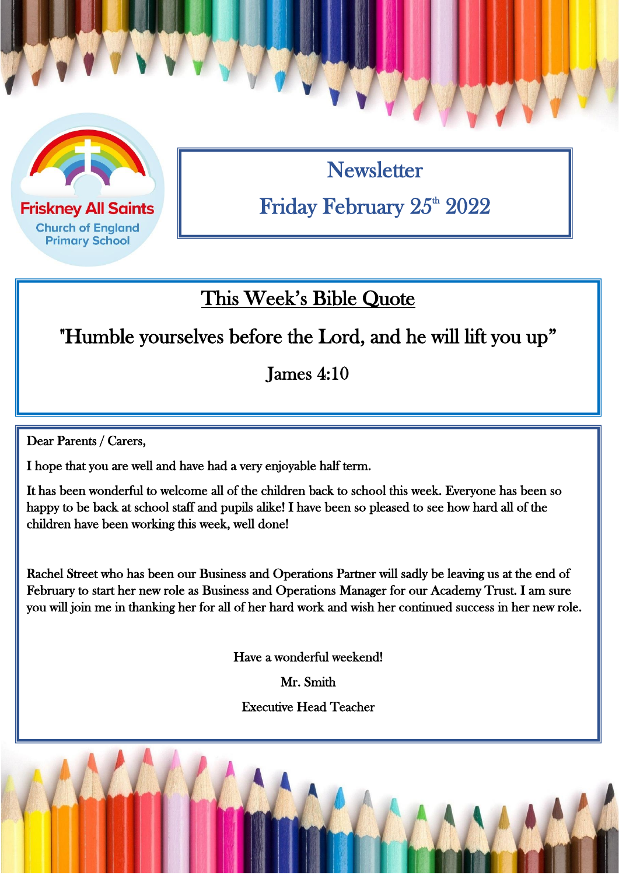

**Church of England Primary School** 

**Newsletter** Friday February 25th 2022

## This Week's Bible Quote

"Humble yourselves before the Lord, and he will lift you up"

James 4:10

 $\overline{a}$ 

Dear Parents / Carers,

I hope that you are well and have had a very enjoyable half term.

It has been wonderful to welcome all of the children back to school this week. Everyone has been so happy to be back at school staff and pupils alike! I have been so pleased to see how hard all of the children have been working this week, well done!

Rachel Street who has been our Business and Operations Partner will sadly be leaving us at the end of February to start her new role as Business and Operations Manager for our Academy Trust. I am sure you will join me in thanking her for all of her hard work and wish her continued success in her new role.

Have a wonderful weekend!

Mr. Smith

Executive Head Teacher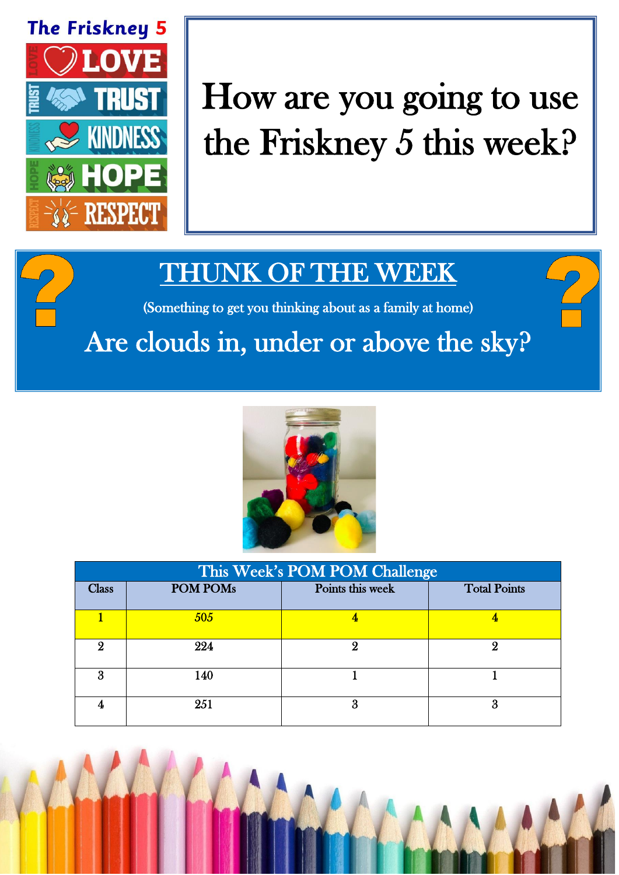

## How are you going to use the Friskney 5 this week?

## THUNK OF THE WEEK

(Something to get you thinking about as a family at home)

## Are clouds in, under or above the sky?



| This Week's POM POM Challenge |                 |                  |                     |  |
|-------------------------------|-----------------|------------------|---------------------|--|
| <b>Class</b>                  | <b>POM POMs</b> | Points this week | <b>Total Points</b> |  |
|                               | 505             |                  |                     |  |
| 9                             | 224             | O)               |                     |  |
| я                             | 140             |                  |                     |  |
|                               | 251             | Χ                | 3                   |  |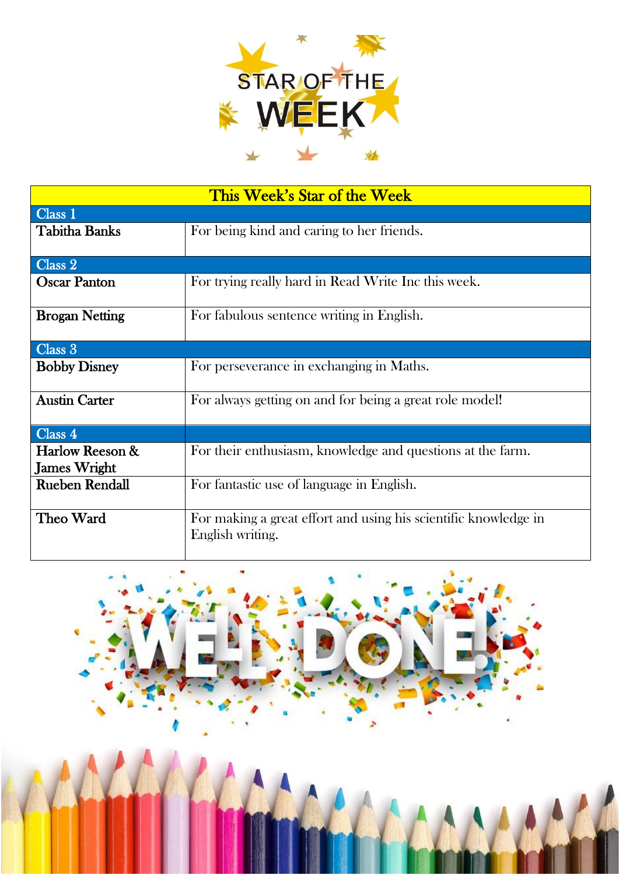

| This Week's Star of the Week |                                                                 |  |  |  |
|------------------------------|-----------------------------------------------------------------|--|--|--|
| Class 1                      |                                                                 |  |  |  |
| <b>Tabitha Banks</b>         | For being kind and caring to her friends.                       |  |  |  |
|                              |                                                                 |  |  |  |
| Class 2                      |                                                                 |  |  |  |
| <b>Oscar Panton</b>          | For trying really hard in Read Write Inc this week.             |  |  |  |
| <b>Brogan Netting</b>        | For fabulous sentence writing in English.                       |  |  |  |
| Class 3                      |                                                                 |  |  |  |
| <b>Bobby Disney</b>          | For perseverance in exchanging in Maths.                        |  |  |  |
| <b>Austin Carter</b>         | For always getting on and for being a great role model!         |  |  |  |
| Class 4                      |                                                                 |  |  |  |
| Harlow Reeson &              | For their enthusiasm, knowledge and questions at the farm.      |  |  |  |
| <b>James Wright</b>          |                                                                 |  |  |  |
| <b>Rueben Rendall</b>        | For fantastic use of language in English.                       |  |  |  |
| Theo Ward                    | For making a great effort and using his scientific knowledge in |  |  |  |
|                              | English writing.                                                |  |  |  |

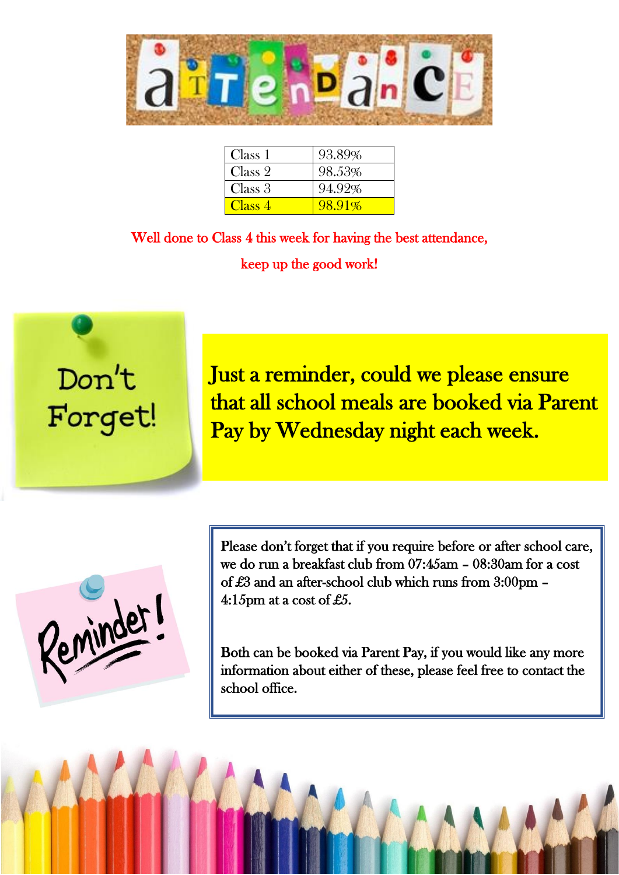

| Class 1 | 93.89% |
|---------|--------|
| Class 2 | 98.53% |
| Class 3 | 94.92% |
| Class 4 | 98.91% |

Well done to Class 4 this week for having the best attendance, keep up the good work!

 $\overline{a}$ 



Just a reminder, could we please ensure that all school meals are booked via Parent Pay by Wednesday night each week.

Reminder

Please don't forget that if you require before or after school care, we do run a breakfast club from 07:45am – 08:30am for a cost of £3 and an after-school club which runs from 3:00pm – 4:15pm at a cost of £5.

Both can be booked via Parent Pay, if you would like any more information about either of these, please feel free to contact the school office.